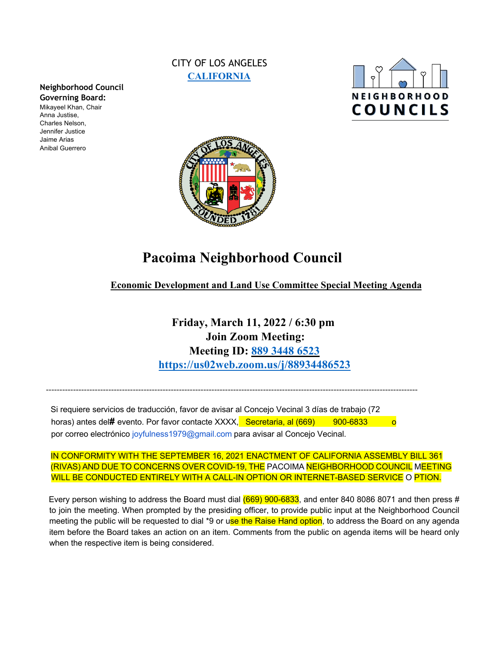# CITY OF LOS ANGELES **CALIFORNIA**





# **Pacoima Neighborhood Council**

**Economic Development and Land Use Committee Special Meeting Agenda**

**Friday, March 11, 2022 / 6:30 pm Join Zoom Meeting: Meeting ID: 889 3448 6523 https://us02web.zoom.us/j/88934486523**

Si requiere servicios de traducción, favor de avisar al Concejo Vecinal 3 días de trabajo (72 horas) antes del**#** evento. Por favor contacte XXXX, Secretaria, al (669) 900-6833 o por correo electrónico joyfulness1979@gmail.com para avisar al Concejo Vecinal.

-----------------------------------------------------------------------------------------------------------------------------------------

IN CONFORMITY WITH THE SEPTEMBER 16, 2021 ENACTMENT OF CALIFORNIA ASSEMBLY BILL 361 (RIVAS) AND DUE TO CONCERNS OVER COVID-19, THE PACOIMA NEIGHBORHOOD COUNCIL MEETING WILL BE CONDUCTED ENTIRELY WITH A CALL-IN OPTION OR INTERNET-BASED SERVICE O PTION.

Every person wishing to address the Board must dial  $(669)$  900-6833, and enter 840 8086 8071 and then press # to join the meeting. When prompted by the presiding officer, to provide public input at the Neighborhood Council meeting the public will be requested to dial \*9 or use the Raise Hand option, to address the Board on any agenda item before the Board takes an action on an item. Comments from the public on agenda items will be heard only when the respective item is being considered.

### **Neighborhood Council Governing Board:**

Mikayeel Khan, Chair Anna Justise, Charles Nelson, Jennifer Justice Jaime Arias Anibal Guerrero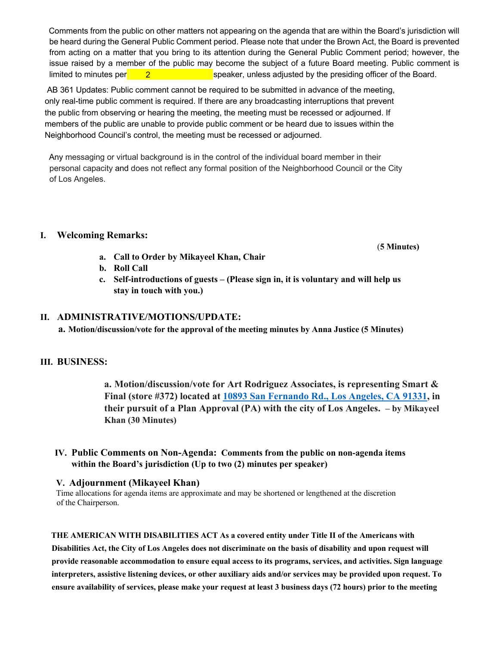Comments from the public on other matters not appearing on the agenda that are within the Board's jurisdiction will be heard during the General Public Comment period. Please note that under the Brown Act, the Board is prevented from acting on a matter that you bring to its attention during the General Public Comment period; however, the issue raised by a member of the public may become the subject of a future Board meeting. Public comment is speaker, unless adjusted by the presiding officer of the Board. limited to minutes per 2

AB 361 Updates: Public comment cannot be required to be submitted in advance of the meeting, only real-time public comment is required. If there are any broadcasting interruptions that prevent the public from observing or hearing the meeting, the meeting must be recessed or adjourned. If members of the public are unable to provide public comment or be heard due to issues within the Neighborhood Council's control, the meeting must be recessed or adjourned.

Any messaging or virtual background is in the control of the individual board member in their personal capacity and does not reflect any formal position of the Neighborhood Council or the City of Los Angeles.

#### **I. Welcoming Remarks:**

**a. Call to Order by Mikayeel Khan, Chair** 

- **b. Roll Call**
- **c. Self-introductions of guests – (Please sign in, it is voluntary and will help us stay in touch with you.)**

## **II. ADMINISTRATIVE/MOTIONS/UPDATE:**

**a. Motion/discussion/vote for the approval of the meeting minutes by Anna Justice (5 Minutes)**

## **III. BUSINESS:**

**a. Motion/discussion/vote for Art Rodriguez Associates, is representing Smart & Final (store #372) located at 10893 San Fernando Rd., Los Angeles, CA 91331, in their pursuit of a Plan Approval (PA) with the city of Los Angeles. – by Mikayeel Khan (30 Minutes)** 

## **IV. Public Comments on Non-Agenda: Comments from the public on non-agenda items within the Board's jurisdiction (Up to two (2) minutes per speaker)**

#### **V. Adjournment (Mikayeel Khan)**

Time allocations for agenda items are approximate and may be shortened or lengthened at the discretion of the Chairperson.

#### **THE AMERICAN WITH DISABILITIES ACT As a covered entity under Title II of the Americans with**

**Disabilities Act, the City of Los Angeles does not discriminate on the basis of disability and upon request will provide reasonable accommodation to ensure equal access to its programs, services, and activities. Sign language interpreters, assistive listening devices, or other auxiliary aids and/or services may be provided upon request. To ensure availability of services, please make your request at least 3 business days (72 hours) prior to the meeting** 

(**5 Minutes)**